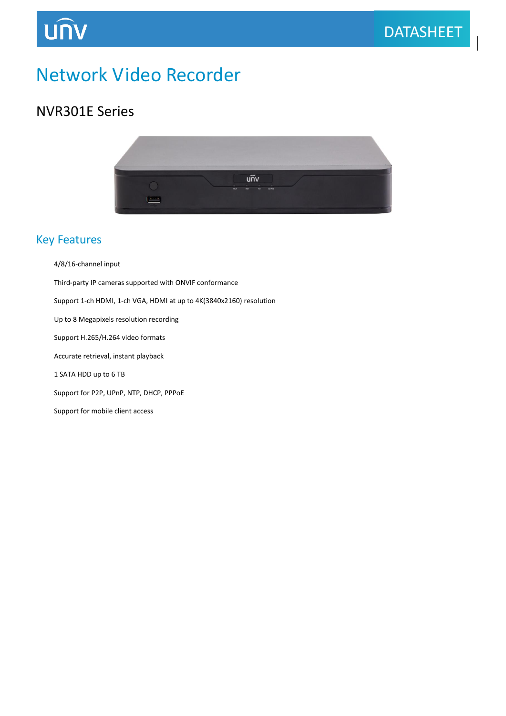# Network Video Recorder

### NVR301E Series

**UNV** 



#### Key Features

- 4/8/16-channel input
- Third-party IP cameras supported with ONVIF conformance
- Support 1-ch HDMI, 1-ch VGA, HDMI at up to 4K(3840x2160) resolution
- Up to 8 Megapixels resolution recording
- Support H.265/H.264 video formats
- Accurate retrieval, instant playback
- 1 SATA HDD up to 6 TB
- Support for P2P, UPnP, NTP, DHCP, PPPoE
- Support for mobile client access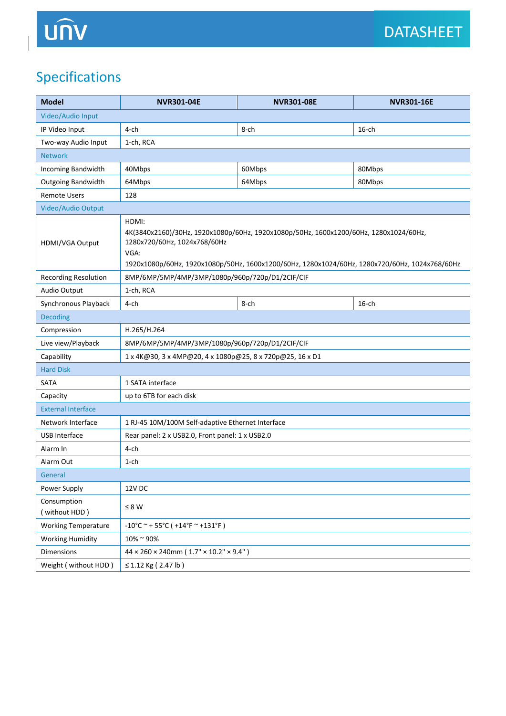$\overline{\phantom{a}}$ 

# Specifications

| <b>Model</b>                 | <b>NVR301-04E</b>                                                                                                                                                                                                                        | <b>NVR301-08E</b> | <b>NVR301-16E</b> |
|------------------------------|------------------------------------------------------------------------------------------------------------------------------------------------------------------------------------------------------------------------------------------|-------------------|-------------------|
| Video/Audio Input            |                                                                                                                                                                                                                                          |                   |                   |
| IP Video Input               | $4$ -ch                                                                                                                                                                                                                                  | 8-ch              | $16$ -ch          |
| Two-way Audio Input          | 1-ch, RCA                                                                                                                                                                                                                                |                   |                   |
| <b>Network</b>               |                                                                                                                                                                                                                                          |                   |                   |
| Incoming Bandwidth           | 40Mbps                                                                                                                                                                                                                                   | 60Mbps            | 80Mbps            |
| Outgoing Bandwidth           | 64Mbps                                                                                                                                                                                                                                   | 64Mbps            | 80Mbps            |
| <b>Remote Users</b>          | 128                                                                                                                                                                                                                                      |                   |                   |
| Video/Audio Output           |                                                                                                                                                                                                                                          |                   |                   |
| HDMI/VGA Output              | HDMI:<br>4K(3840x2160)/30Hz, 1920x1080p/60Hz, 1920x1080p/50Hz, 1600x1200/60Hz, 1280x1024/60Hz,<br>1280x720/60Hz, 1024x768/60Hz<br>VGA:<br>1920x1080p/60Hz, 1920x1080p/50Hz, 1600x1200/60Hz, 1280x1024/60Hz, 1280x720/60Hz, 1024x768/60Hz |                   |                   |
| <b>Recording Resolution</b>  | 8MP/6MP/5MP/4MP/3MP/1080p/960p/720p/D1/2CIF/CIF                                                                                                                                                                                          |                   |                   |
| Audio Output                 | 1-ch, RCA                                                                                                                                                                                                                                |                   |                   |
| Synchronous Playback         | 4-ch                                                                                                                                                                                                                                     | 8-ch              | $16$ -ch          |
| <b>Decoding</b>              |                                                                                                                                                                                                                                          |                   |                   |
| Compression                  | H.265/H.264                                                                                                                                                                                                                              |                   |                   |
| Live view/Playback           | 8MP/6MP/5MP/4MP/3MP/1080p/960p/720p/D1/2CIF/CIF                                                                                                                                                                                          |                   |                   |
| Capability                   | 1 x 4K@30, 3 x 4MP@20, 4 x 1080p@25, 8 x 720p@25, 16 x D1                                                                                                                                                                                |                   |                   |
| <b>Hard Disk</b>             |                                                                                                                                                                                                                                          |                   |                   |
| SATA                         | 1 SATA interface                                                                                                                                                                                                                         |                   |                   |
| Capacity                     | up to 6TB for each disk                                                                                                                                                                                                                  |                   |                   |
| <b>External Interface</b>    |                                                                                                                                                                                                                                          |                   |                   |
| Network Interface            | 1 RJ-45 10M/100M Self-adaptive Ethernet Interface                                                                                                                                                                                        |                   |                   |
| <b>USB Interface</b>         | Rear panel: 2 x USB2.0, Front panel: 1 x USB2.0                                                                                                                                                                                          |                   |                   |
| Alarm In                     | 4-ch                                                                                                                                                                                                                                     |                   |                   |
| Alarm Out                    | $1$ -ch                                                                                                                                                                                                                                  |                   |                   |
| General                      |                                                                                                                                                                                                                                          |                   |                   |
| Power Supply                 | 12V DC                                                                                                                                                                                                                                   |                   |                   |
| Consumption<br>(without HDD) | $\leq 8~\text{W}$                                                                                                                                                                                                                        |                   |                   |
| <b>Working Temperature</b>   | $-10^{\circ}$ C ~ + 55 $^{\circ}$ C ( +14 $^{\circ}$ F ~ +131 $^{\circ}$ F )                                                                                                                                                             |                   |                   |
| <b>Working Humidity</b>      | 10%~90%                                                                                                                                                                                                                                  |                   |                   |
| Dimensions                   | $44 \times 260 \times 240$ mm (1.7" × 10.2" × 9.4")                                                                                                                                                                                      |                   |                   |
| Weight ( without HDD )       | ≤ 1.12 Kg (2.47 lb)                                                                                                                                                                                                                      |                   |                   |